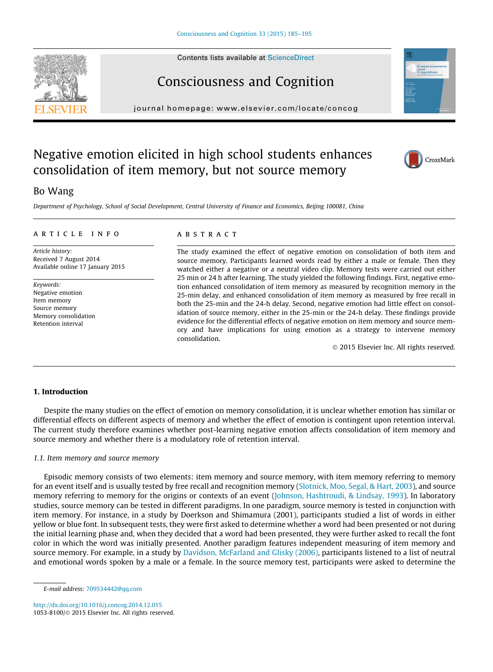# Consciousness and Cognition

journal homepage: [www.elsevier.com/locate/concog](http://www.elsevier.com/locate/concog)

## Negative emotion elicited in high school students enhances consolidation of item memory, but not source memory

### Bo Wang

Department of Psychology, School of Social Development, Central University of Finance and Economics, Beijing 100081, China

#### article info

Article history: Received 7 August 2014 Available online 17 January 2015

Keywords: Negative emotion Item memory Source memory Memory consolidation Retention interval

#### **ABSTRACT**

The study examined the effect of negative emotion on consolidation of both item and source memory. Participants learned words read by either a male or female. Then they watched either a negative or a neutral video clip. Memory tests were carried out either 25 min or 24 h after learning. The study yielded the following findings. First, negative emotion enhanced consolidation of item memory as measured by recognition memory in the 25-min delay, and enhanced consolidation of item memory as measured by free recall in both the 25-min and the 24-h delay. Second, negative emotion had little effect on consolidation of source memory, either in the 25-min or the 24-h delay. These findings provide evidence for the differential effects of negative emotion on item memory and source memory and have implications for using emotion as a strategy to intervene memory consolidation.

2015 Elsevier Inc. All rights reserved.

#### 1. Introduction

Despite the many studies on the effect of emotion on memory consolidation, it is unclear whether emotion has similar or differential effects on different aspects of memory and whether the effect of emotion is contingent upon retention interval. The current study therefore examines whether post-learning negative emotion affects consolidation of item memory and source memory and whether there is a modulatory role of retention interval.

#### 1.1. Item memory and source memory

Episodic memory consists of two elements: item memory and source memory, with item memory referring to memory for an event itself and is usually tested by free recall and recognition memory (Slotnick, Moo, Segal, & Hart, 2003), and source memory referring to memory for the origins or contexts of an event (Johnson, Hashtroudi, & Lindsay, 1993). In laboratory studies, source memory can be tested in different paradigms. In one paradigm, source memory is tested in conjunction with item memory. For instance, in a study by Doerkson and Shimamura (2001), participants studied a list of words in either yellow or blue font. In subsequent tests, they were first asked to determine whether a word had been presented or not during the initial learning phase and, when they decided that a word had been presented, they were further asked to recall the font color in which the word was initially presented. Another paradigm features independent measuring of item memory and source memory. For example, in a study by Davidson, McFarland and Glisky (2006), participants listened to a list of neutral and emotional words spoken by a male or a female. In the source memory test, participants were asked to determine the

<http://dx.doi.org/10.1016/j.concog.2014.12.015> 1053-8100/© 2015 Elsevier Inc. All rights reserved.







E-mail address: [709534442@qq.com](mailto:709534442@qq.com)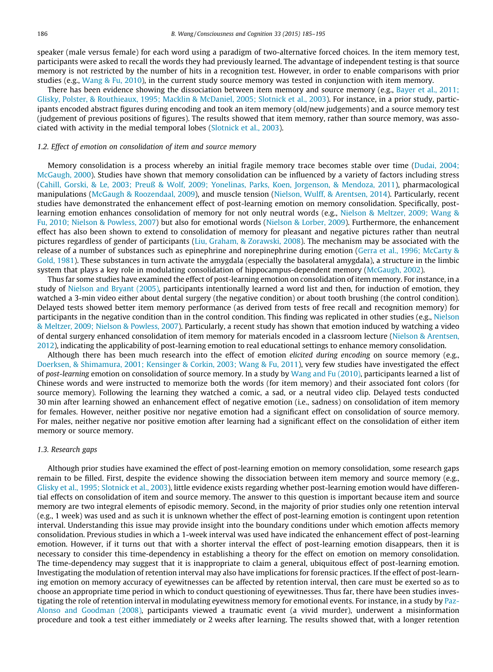speaker (male versus female) for each word using a paradigm of two-alternative forced choices. In the item memory test, participants were asked to recall the words they had previously learned. The advantage of independent testing is that source memory is not restricted by the number of hits in a recognition test. However, in order to enable comparisons with prior studies (e.g., Wang & Fu, 2010), in the current study source memory was tested in conjunction with item memory.

There has been evidence showing the dissociation between item memory and source memory (e.g., Bayer et al., 2011; Glisky, Polster, & Routhieaux, 1995; Macklin & McDaniel, 2005; Slotnick et al., 2003). For instance, in a prior study, participants encoded abstract figures during encoding and took an item memory (old/new judgements) and a source memory test (judgement of previous positions of figures). The results showed that item memory, rather than source memory, was associated with activity in the medial temporal lobes (Slotnick et al., 2003).

#### 1.2. Effect of emotion on consolidation of item and source memory

Memory consolidation is a process whereby an initial fragile memory trace becomes stable over time (Dudai, 2004; McGaugh, 2000). Studies have shown that memory consolidation can be influenced by a variety of factors including stress (Cahill, Gorski, & Le, 2003; Preuß & Wolf, 2009; Yonelinas, Parks, Koen, Jorgenson, & Mendoza, 2011), pharmacological manipulations (McGaugh & Roozendaal, 2009), and muscle tension (Nielson, Wulff, & Arentsen, 2014). Particularly, recent studies have demonstrated the enhancement effect of post-learning emotion on memory consolidation. Specifically, postlearning emotion enhances consolidation of memory for not only neutral words (e.g., Nielson & Meltzer, 2009; Wang & Fu, 2010; Nielson & Powless, 2007) but also for emotional words (Nielson & Lorber, 2009). Furthermore, the enhancement effect has also been shown to extend to consolidation of memory for pleasant and negative pictures rather than neutral pictures regardless of gender of participants (Liu, Graham, & Zorawski, 2008). The mechanism may be associated with the release of a number of substances such as epinephrine and norepinephrine during emotion (Gerra et al., 1996; McCarty & Gold, 1981). These substances in turn activate the amygdala (especially the basolateral amygdala), a structure in the limbic system that plays a key role in modulating consolidation of hippocampus-dependent memory (McGaugh, 2002).

Thus far some studies have examined the effect of post-learning emotion on consolidation of item memory. For instance, in a study of Nielson and Bryant (2005), participants intentionally learned a word list and then, for induction of emotion, they watched a 3-min video either about dental surgery (the negative condition) or about tooth brushing (the control condition). Delayed tests showed better item memory performance (as derived from tests of free recall and recognition memory) for participants in the negative condition than in the control condition. This finding was replicated in other studies (e.g., Nielson & Meltzer, 2009; Nielson & Powless, 2007). Particularly, a recent study has shown that emotion induced by watching a video of dental surgery enhanced consolidation of item memory for materials encoded in a classroom lecture (Nielson & Arentsen, 2012), indicating the applicability of post-learning emotion to real educational settings to enhance memory consolidation.

Although there has been much research into the effect of emotion elicited during encoding on source memory (e.g., Doerksen, & Shimamura, 2001; Kensinger & Corkin, 2003; Wang & Fu, 2011), very few studies have investigated the effect of post-learning emotion on consolidation of source memory. In a study by Wang and Fu (2010), participants learned a list of Chinese words and were instructed to memorize both the words (for item memory) and their associated font colors (for source memory). Following the learning they watched a comic, a sad, or a neutral video clip. Delayed tests conducted 30 min after learning showed an enhancement effect of negative emotion (i.e., sadness) on consolidation of item memory for females. However, neither positive nor negative emotion had a significant effect on consolidation of source memory. For males, neither negative nor positive emotion after learning had a significant effect on the consolidation of either item memory or source memory.

#### 1.3. Research gaps

Although prior studies have examined the effect of post-learning emotion on memory consolidation, some research gaps remain to be filled. First, despite the evidence showing the dissociation between item memory and source memory (e.g., Glisky et al., 1995; Slotnick et al., 2003), little evidence exists regarding whether post-learning emotion would have differential effects on consolidation of item and source memory. The answer to this question is important because item and source memory are two integral elements of episodic memory. Second, in the majority of prior studies only one retention interval (e.g., 1 week) was used and as such it is unknown whether the effect of post-learning emotion is contingent upon retention interval. Understanding this issue may provide insight into the boundary conditions under which emotion affects memory consolidation. Previous studies in which a 1-week interval was used have indicated the enhancement effect of post-learning emotion. However, if it turns out that with a shorter interval the effect of post-learning emotion disappears, then it is necessary to consider this time-dependency in establishing a theory for the effect on emotion on memory consolidation. The time-dependency may suggest that it is inappropriate to claim a general, ubiquitous effect of post-learning emotion. Investigating the modulation of retention interval may also have implications for forensic practices. If the effect of post-learning emotion on memory accuracy of eyewitnesses can be affected by retention interval, then care must be exerted so as to choose an appropriate time period in which to conduct questioning of eyewitnesses. Thus far, there have been studies investigating the role of retention interval in modulating eyewitness memory for emotional events. For instance, in a study by Paz-Alonso and Goodman (2008), participants viewed a traumatic event (a vivid murder), underwent a misinformation procedure and took a test either immediately or 2 weeks after learning. The results showed that, with a longer retention